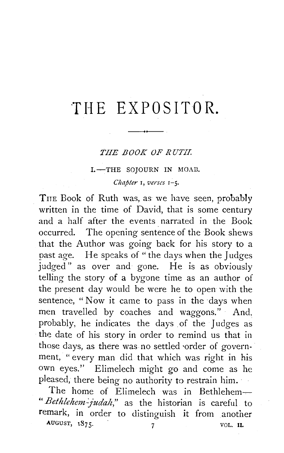## **·THE EXPOSITOR.**

## *THE BOOK OF RUTII.*

I.-THE SOJOURN IN MOAB. *Chapter* r, *verses* r-5.

TnE Book of Ruth was, as we have seen, probably written in the time of David, that is some century and a half after the events narrated in the Book occurred. The opening sentence of the Book shews that the Author was going back for his story to a past age. He speaks of "the days when the Judges judged" as over and gone. He is as obviously telling the story of a bygone time as an author of the present day would be were he to open with the sentence, " Now it came to pass in the days when men travelled by coaches and waggons." And, probably, he indicates the days of the Judges as the date of his story in order to remind us that in those days, as there was no settled·order of government, "every man did that which was right in his own eyes." Elimelech might go and come as he pleased, there being no authority to restrain him.

The home of Elimelech was in Bethlehem-"Bethlehem-judah," as the historian is careful to remark, in order to distinguish it from another AUGUST,  $1875$ .  $7$  VOL. II.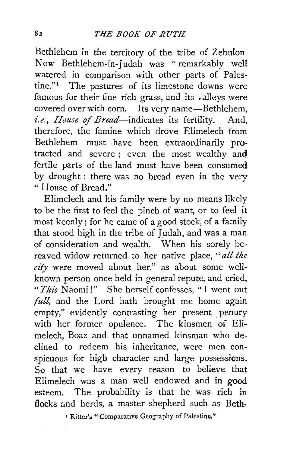Bethlehem in the territory of the tribe of Zebulon. Now Bethlehem-in-J udah was " remarkably well watered in comparison with other parts of Pales $time."$  The pastures of its limestone downs were famous for their fine rich grass, and its valleys were covered over with corn. Its very name-Bethlehem, *£.e., House of Bread-indicates* its fertility. And, therefore, the famine which drove Elimelech from Bethlehem must have been extraordinarily protracted and severe ; even the most wealthy and fertile parts of the land must have been consumed by drought : there was no bread even in the very " House of Bread."

Elimelech and his family were by no means likely to be the first to feel the pinch of want, or to feel it most keenly; for he came of a good stock, of a family that stood high in the tribe of Judah, and was a man of consideration and wealth. When his sorely bereaved widow returned to her native place, *"all the city* were moved about her," as about some wellknown person once held in general repute, and cried, "This Naomi!" She herself confesses, "I went out full, and the Lord hath brought me home again empty," evidently contrasting her present penury with her former opulence. The kinsmen of Elimelech, Boaz and that unnamed kinsman who declined to redeem his inheritance, were men conspicuous for high character and large possessions. So that we have every reason to believe that Elimelech was a man well endowed and in good esteem. The probability is that he was rich in flocks and herds, a master shepherd such as Beth-

<sup>I</sup> Ritter's "Comparative Geography of Palestine."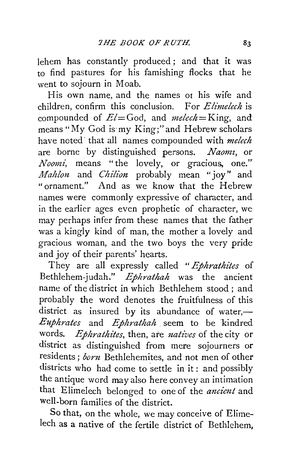Iehem has constantly produced ; and that it was to find pastures for his famishing flocks that he went to sojourn in Moab.

His own name, and the names or his wife and children, confirm this conclusion. For *Elimelech* is compounded of *El=God,* and *melech=King,* and means "My God is·my King;" and Hebrew scholars have noted· that all names compounded with *melech*  are borne by distinguished persons. *Naomi*, or *Noomi*, means "the lovely, or gracious, one." *Mahlon* and *Chilion* probably mean "joy" and "ornament." And as we know that the Hebrew names were commonly expressive of character, and in the earlier ages even prophetic of character, we may perhaps infer from these names that the father was a kingly kind of man, the mother a lovely and gracious woman, and the two boys the very pride and joy of their parents' hearts.

They are all expressly called *"Ephrathites* of Bethlehem-judah." *Ephrathah* was the ancient name of the district in which Bethlehem stood ; and probably the word denotes the fruitfulness of this district as insured by its abundance of water,— *Euphrates* and *Ephrathah* seem to be kindred words. *Ephrathites,* then, are *natives* of the city or district as distinguished from mere sojourners or residents ; *born* Bethlehemites, and not men of other districts who had come to settle in it: and possibly the antique word may also here convey an intimation that Elimelech belonged to one of the *ancient* and well-born families of the district.

So that, on the whole, we may conceive of Elime-Iech as a native of the fertile district of Bethlehem,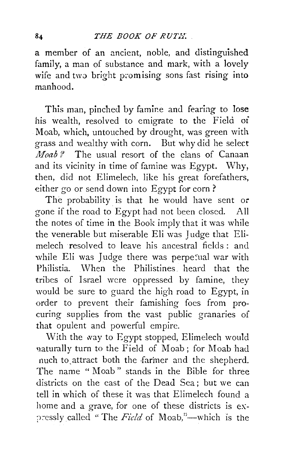a member of an ancient, noble, and distinguished family, a man of substance and mark, with a lovely wife and two bright promising sons fast rising into manhood.

This man, pinched by famine and fearing to lose his wealth, resolved to emigrate to the Field oi Moab, which, untouched by drought, was green with grass and wealthy with corn. But why did he select *Moab?* The usual resort of the clans of Canaan and its vicinity in time of famine was Egypt. Why, then, did not Elimelech, like his great forefathers, either go or send down into Egypt for corn ?

The probability is that he would have sent or gone if the road to Egypt had not been closed. All the notes of time in the Book imply that it was while the venerable but miserable Eli was Judge that Elimelech resolved to leave his ancestral fields : and while Eli was Judge there was perpe-tual war with Philistia. \Vhen the Philistines. heard that the tribes of Israel were oppressed by famine, they would be sure to guard the high road to Egypt, in order to prevent their famishing foes from procuring supplies from the vast public granaries of that opulent and powerful empire.

With the way to Egypt stopped, Elimelech would naturally turn to the Field of Moab; for Moab had nuch to attract both the farmer and the shepherd. The name "Moab" stands in the Bible for three districts on the east of the Dead Sea; but we can tell in which of these it was that Elimelech found a home and a grave, for one of these districts is ex pressly called " The Field of Moab,"--which is the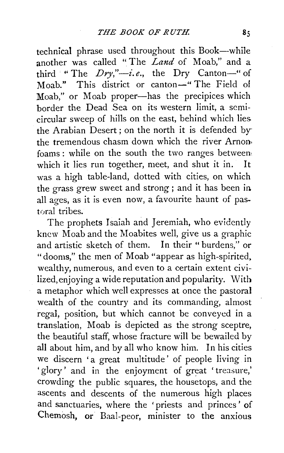technical phrase used throughout this Book-while another was called "The *Land* of Moab," and a third " The  $Dry$ ,"-i.e., the Dry Canton-" of Moab." This district or canton-" The Field of Moab," or Moab proper-has the precipices which border the Dead Sea on its western limit, a semicircular sweep of hills on the east, behind which lies the Arabian Desert ; on the north it is defended by the tremendous chasm down which the river Arnon• foams : while on the south the two ranges between, which it lies run together, meet, and shut it in. It was a high table-land, dotted with cities, on which the grass grew sweet and strong ; and it has been in. all ages, as it is even now, a favourite haunt of pastoral tribes.

The prophets Isaiah and Jeremiah, who evidently knew Moab and the Moabites well, give us a graphic and artistic sketch of them. In their "burdens," or "dooms," the men of Moab "appear as high-spirited, wealthy, numerous, and even to a certain extent civilized, enjoying a wide reputation and popularity. With a metaphor which well expresses at once the pastoral wealth of the country and its commanding, almost regal, position, but which cannot be conveyed in a translation, Moab is depicted as the strong sceptre, the beautiful staff, whose fracture will be bewailed by all about him, and by all who know him. In his cities we discern 'a great multitude' of people living in 'glory' and in the enjoyment of great 'treasure,' crowding the public squares, the housetops, and the ascents and descents of the numerous high places and sanctuaries, where the 'priests and princes' of Chemosh, or Baal-peor, minister to the anxious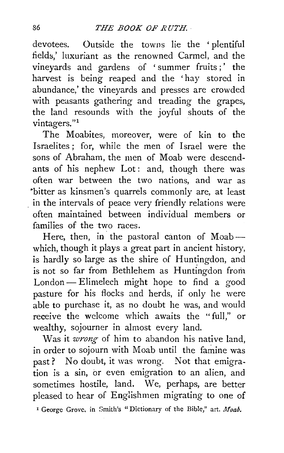devotees. Outside the towns lie the ' plentiful fields,' luxuriant as the renowned Carmel, and the vineyards and gardens of 'summer fruits;' the harvest is being reaped and the 'hay stored in abundance,' the vineyards and presses are crowded with peasants gathering and treading the grapes, the land resounds with the joyful shouts of the vintagers."<sup>1</sup>

The Moabites, moreover, were of kin to the Israelites ; for, while the men of Israel were the sons of Abraham, the men of Moab were descendants of his nephew Lot: and, though there was often war between the two nations, and war as •bitter as kinsmen's quarrels commonly are, at least in the intervals of peace very friendly relations were often maintained between individual members or families of the two races.

Here, then, in the pastoral canton of  $M$ oab $$ which, though it plays a great part in ancient history, is hardly so large as the shire of Huntingdon, and is not so far from Bethlehem as Huntingdon from London - Elimelech might hope to find a good pasture for his flocks and herds, if only he were able to purchase it, as no doubt he was, and would receive the welcome which awaits the "full," or wealthy, sojourner in almost every land.

Was it *wrong* of him to abandon his native land, in order to sojourn with Moab until the famine was past? No doubt, it was wrong. Not that emigration is a sin, or even emigration to an alien, and sometimes hostile, land. We, perhaps, are better pleased to hear of Englishmen migrating to one of

<sup>1</sup> George Grove, in Smith's "Dictionary of the Bible," art. Moab.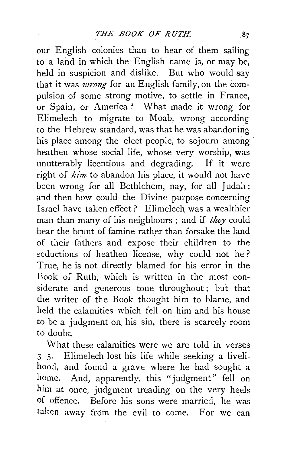our English colonies than to hear of them sailing to a land in which the English name is, or may be, held in suspicion and dislike. But who would say that it was *wrong* for an English family, on the compulsion of some strong motive, to settle in France, or Spain, or America ? What made it wrong for Elimelech to migrate to Moab, wrong according to the Hebrew standard, was that he was abandoning his place among the elect people, to sojourn among heathen whose social life, whose very worship, was unutterably licentious and degrading. If it were right of *him* to abandon his place, it would not have been wrong for all Bethlehem, nay, for all Judah; and then how could the Divine purpose concerning Israel have taken effect? Elimelech was a wealthier man than many of his neighbours; and if *they* could bear the brunt of famine rather than forsake the land of their fathers and expose their children to the seductions of heathen license, why could not he ? True, he is not directly blamed for his error in the Book of Ruth, which is written in the most considerate and generous tone throughout; but that the writer of the Book thought him to blame, and held the calamities which fell on him and his house to be a judgment on. his sin, there is scarcely room to doubt.

What these calamities were we are told in verses 3-5. Elimelech lost his life while seeking a livelihood, and found a grave where he had sought a home. And, apparently, this "judgment" fell on him at once, judgment treading on the very heels of offence. Before his sons were married, he was taken away from the evil to come. For we can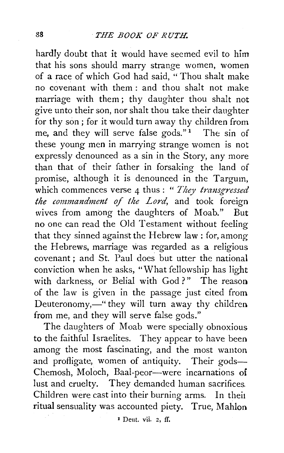hardly doubt that it would have seemed evil to him that his sons should marry strange women, women of a race of which God had said, " Thou shalt make no covenant with them : and thou shalt not make marriage with them; thy daughter thou shalt not give unto their son, nor shalt thou take their daughter for thy son; for it would turn away thy children from me, and they will serve false gods." $1$  The sin of these young men in marrying strange women is not expressly denounced as a sin in the Story, any more than that of their father in forsaking the land of promise, although it is denounced in the Targum, which commences verse 4 thus : " *They transgressed* the commandment of the Lord, and took foreign wives from among the daughters of Moab." But no one can read the Old Testament without feeling that they sinned against the Hebrew law: for, among the Hebrews, marriage was regarded as a religious covenant ; and St. Paul does but utter the national conviction when he asks, "What fellowship has light with darkness, or Belial with God?" The reason of the law is given in the passage just cited from Deuteronomy,—" they will turn away thy children from me, and they will serve false gods."

The daughters of Moab were specially obnoxious to the faithful Israelites. They appear to have been among the most fascinating, and the most wanton and profligate, women of antiquity. Their gods-Chemosh, Moloch, Baal-peor---were incarnations of lust and cruelty. They demanded human sacrifices. Children were cast into their burning arms. In theit ritual sensuality was accounted piety. True, Mahlon

I Dent. vii. 2, ff.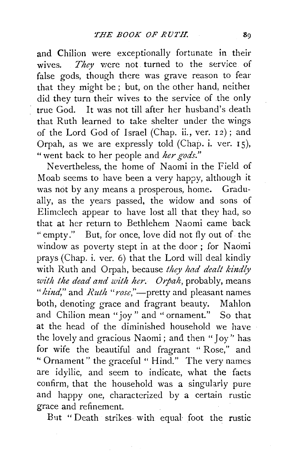and Chilion were exceptionally fortunate in their wives. *They* were not turned to the service of false gods, though there was grave reason to fear that they might be ; but, on the other hand, neither did they turn their wives to the service of the only true God. It was not till after her husband's death that Ruth learned to take shelter under the wings of the Lord God of Israel (Chap. ii., ver. 12); and Orpah, as we are expressly told (Chap. i. ver.  $15$ ), " went back to her people and *her gods.*"

Nevertheless, the home of Naomi in the Field of Moab seems to have been a very happy, although it was not by any means a prosperous, home. Gradually, as the years passed, the widow and sons of Elimclech appear to have lost all that they had, so that at her return to Bethlehem Naomi came back "empty." But, for once, love did not fly out of the window as poverty stept in at the door; for Naomi prays (Chap. i. ver. 6) that the Lord will deal kindly with Ruth and Orpah, because *they had dealt kindly with the dead and with her. Orpah*, probably, means *"hind,"* and *Ruth "rose,"-pretty* and pleasant names both, denoting grace and fragrant beauty. Mahlon and Chilion mean "joy" and "ornament." So that at the head of the diminished household we have the lovely and gracious Naomi; and then "Joy" has for wife the beautiful and fragrant " Rose," and '' Ornament" the graceful " Hind." The very names are idyllic, and seem to indicate, what the facts confirm, that the household was a singularly pure and happy one, characterized by a certain rustic grace and refinement.

But "Death strikes with equal foot the rustic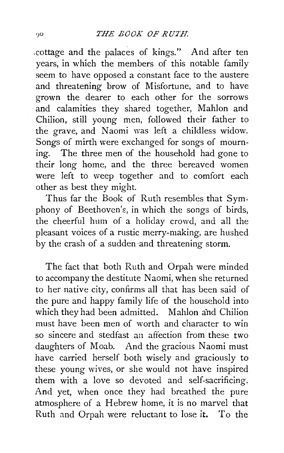,cottage and the palaces of kings." And after ten years, in which the members of this notable family seem to have opposed a constant face to the austere and threatening brow of Misfortune, and to have grown the dearer to each other for the sorrows and calamities they shared together, Mahlon and Chilion, still young men, followed their father to the grave, and Naomi was left a childless widow. Songs of mirth were exchanged for songs of mourning. The three men of the household had gone to their long home, and the three bereaved women were left to weep together and to comfort each other as best they might.

Thus far the Book of Ruth resembles that Sym. phony of Beethoven's, in which the songs of birds, the cheerful hum of a holiday crowd, and all the pleasant voices of a rustic merry-making, are hushed by the crash of a sudden ·and threatening storm.

The fact that both Ruth and Orpah were minded to accompany the destitute Naomi, when she returned to her native city, confirms all that has been said of the pure and happy family life of the household into which they had been admitted. Mahlon and Chilion must have been men of worth and character to win so sincere and stedfast an affection from these two daughters of Moab. And the gracious Naomi must have carried herself both wisely and graciously to these young wives, or she would not have inspired them with a love so devoted and self-sacrificing. And yet, when once they had breathed the pure atmosphere of a Hebrew home, it is no marvel that Ruth and Orpah were reluctant to lose it. To the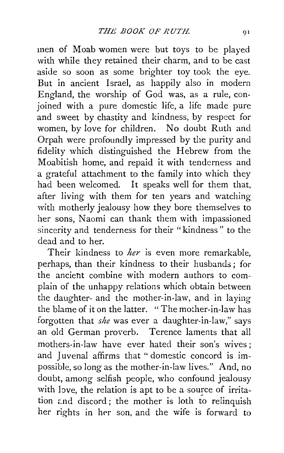men of Moab women were but toys to be played with while they retained their charm, and to be cast aside so soon as some brighter toy took the eye. But in ancient Israel, as happily also in modern England, the worship of God was, as a rule, conjoined with a pure domestic life, a life made pure and sweet by chastity and kindness, by respect for women, by love for children. No doubt Ruth and Orpah were profoundly impressed by the purity and fidelity which distinguished the Hebrew from the Moabitish home, and repaid it with tenderness and a grateful attachment to the family into which they had been welcomed. It speaks well for them that, after living with them for ten years and watching with motherly jealousy how they bore themselves to her sons, Naomi can thank them with impassioned sincerity and tenderness for their "kindness" to the dead and to her.

Their kindness to *her* is even more remarkable, perhaps, than their kindness to their husbands; for the ancient combine with modern authors to complain of the unhappy relations which obtain between the daughter- and the mother-in-law, and in laying the blame of it on the latter. "The mother-in-law has forgotten that *she* was ever a daughter-in-law," says an old German proverb. Terence laments that all mothers-in-law have ever hated their son's wives; and Juvenal affirms that " domestic concord is impossible, so long as the mother-in-law lives." And, no doubt, among selfish people, who confound jealousy with love, the relation is apt to be a source of irritation  $\epsilon$ nd discord; the mother is loth to relinquish her rights in her son, and the wife is forward to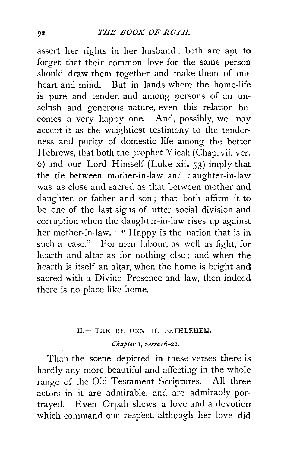assert her rights in her husband : both are apt to forget that their common love for the same person should draw them together and make them of one heart and mind. But in lands where the home-life is pure and tender, and among persons of an unselfish and ·generous nature, even this relation becomes a very happy one. And, possibly, we may accept it as the weightiest testimony to the tenderness and purity of domestic life among the better Hebrews, that both the prophet Micah (Chap. vii. ver. 6) and our Lord Himself (Luke xii.  $53$ ) imply that the tie between muther-in-law and daughter-in-law was as close and sacred as that between mother and daughter, or father and son; that both affirm it to be one of the last signs of utter social division and corruption when the daughter-in-law rises up against her mother-in-law. " Happy is the nation that is in such a case." For men labour, as well as fight, for hearth and altar as for nothing else ; and when the hearth is itself an altar, when the home is bright and sacred with a Divine Presence and law, then indeed there is no place like home.

## II.-THE RETURN TC SETHLEHEM. *ClzajJter* I, *verses* 6-22.

Than the scene depicted in these verses there is hardly any more beautiful and affecting in the whole range of the Old Testament Scriptures. All three actors in it are admirable, and are admirably portrayed. Even Orpah shews a love and a devotion which command our respect, although her love did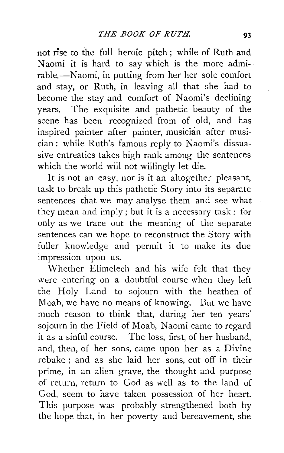not rise to the full heroic pitch ; while of Ruth and Naomi it is hard to say which is the more admirable,-Naomi, in putting from her her sole comfort and stay, or Ruth, in leaving all that she had to become the stay and comfort of Naomi's declining years. The exquisite and pathetic beauty of the scene has been recognized from of old, and has inspired painter after painter, musician after musician: while Ruth's famous reply to Naomi's dissuasive entreaties takes high rank among the sentences which the world will not willingly let die.

It is not an easy, nor is it an altogether pleasant, task to break up this pathetic Story into its separate sentences that we may analyse them and see what they mean and imply; but it is a necessary task: for only as we trace out the meaning of the separate sentences can we hope to reconstruct the Story with fuller knowledge and permit it to make its due impression upon us.

Whether Elimelech and his wife felt that they were entering on a doubtful course when they left. the Holy Land to sojourn with the heathen of Moab, we have no means of knowing. But we have much reason to think that, during her ten years' sojourn in the Field of Moab, Naomi came to regard it as a sinful course. The loss, first, of her husband, and, then, of her sons, came upon her as a Divine rebuke ; and as she laid her sons, cut off in their prime, in an alien grave, the thought and purpose of return, return to God as well as to the land of God, seem to have taken possession of her heart. This purpose was probably strengthened both by the hope that, in her poverty and bereavement, she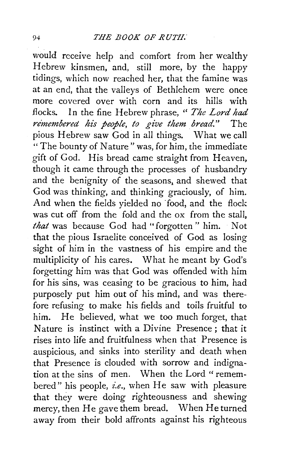would receive help and comfort from her wealthy Hebrew kinsmen, and, still more, by the happy tidings, which now reached her, that the famine was at an end, that the valleys of Bethlehem were once more covered over with corn and its hills with flocks. In the fine Hebrew phrase, " *The Lord had remembered his people, to give them bread."* The pious Hebrew saw God in all things. What we call " The bounty of Nature" was, for him, the immediate gift of God. His bread came straight from Heaven, though it came through the processes of husbandry and the benignity of the seasons, and shewed that God was thinking, and thinking graciously, of him. And when the fields yielded no food, and the flock was cut off from the fold and the ox from the stall, *that* was because God had "forgotten " him. Not that the pious Israelite conceived of God as losing sight of him in the vastness of his empire and the multiplicity of his cares. What he meant by God's forgetting him was that God was offended with him for his sins, was ceasing to be gracious to him, had purposely put him out of his mind, and was therefore refusing to make his fields and toils fruitful to him. He believed, what we too much forget, that Nature is instinct with a Divine Presence ; that it rises into life and fruitfulness when that Presence is auspicious, and sinks into sterility and death when that Presence is clouded with sorrow and indignation at the sins of men. When the Lord " remembered" his people, *i.e.*, when He saw with pleasure that they were doing righteousness and shewing mercy, then He gave them bread. When He turned away from their bold afftonts against his righteous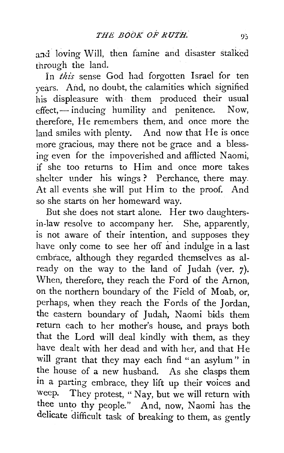and loving Will, then famine and disaster stalked through the land.

In *this* sense God had forgotten Israel for ten years. And, no doubt, the calamities which signified his displeasure with them produced their usual  $effect$ , inducing humility and penitence. Now, therefore, He remembers them, and once more the land smiles with plenty. And now that He is once more gracious, may there not be grace and a blessing even for the impoverished and afflicted Naomi, if she too returns to Him and once more takes shelter under his wings? Perchance, there may. At all evehts she will put Him to the proof. And so she starts on her homeward way.

But she does not start alone. Her two daughtersin-law resolve to accompany her. She, apparently, is not aware of their intention, and supposes they have only come to see her off and indulge in a last embrace, although they regarded themselves as already on the way to the land of Judah (ver. 7). When, therefore, they reach the Ford of the Arnon, on the northern boundary of the Field of Moab, or, perhaps, when they reach the Fords of the Jordan, the eastern boundary of Judah, Naomi bids them return each to her mother's house, and prays both that the Lord will deal kindly with them, as they have dealt with her dead and with her, and that He will grant that they may each find "an asylum" in the house of a new husband. As she clasps them in a parting embrace, they lift up their voices and weep. They protest, " Nay, but we will return with thee unto thy people." And, now, Naomi has the delicate difficult task of breaking to them, as gently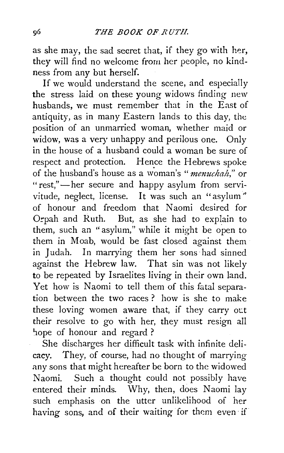as she may, the sad secret that, if they go with her, they will find no welcome from her people, no kindness from any but herself.

If we would understand the scene, and especially the stress laid on these young widows finding new husbands, we must remember that in the East of antiquity, as in many Eastern lands to this day, the position of an unmarried woman, whether maid or widow, was a very unhappy and perilous one. Only in the house of a husband could a woman be sure of respect and protection. Hence the Hebrews spoke of the husband's house as a w'oman's *"menuchah,"* or "rest,"-her secure and happy asylum from servivitude, neglect, license. It was such an "asylum'' of honour and freedom that Naomi desired for Orpah and Ruth. But, as she had to explain to them, such an "asylum," while it might be open to them in Moab, would be fast closed against them in Judah. In marrying them her sons had sinned against the Hebrew law. That sin was not likely to be repeated by Israelites living in their own land. Yet how is Naomi to tell them of this fatal separation between the two races ? how is she to make these loving women aware that, if they carry out their resolve to go with her, they must resign all hope of honour and regard ?

She discharges her difficult task with infinite delicacy. They, of *course,* had no thought of marrying any sons that might hereafter be born to the widowed Naomi. Such a thought could not possibly have entered their minds. Why, then, does Naomi lay such emphasis on the utter unlikelihood ot her having sons, and of their waiting for them even· if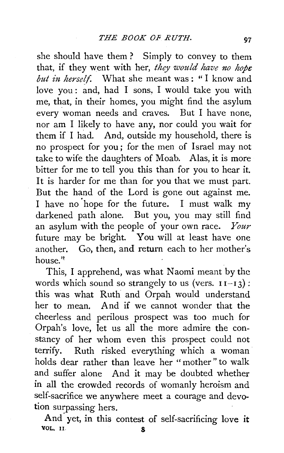she should have them ? Simply to convey to them that, if they went with her, *they would have no hope*  but in herself. What she meant was: "I know and love you : and, had I sons, I would take you with me, that, in their homes, you might find the asylum every woman needs and craves. But I have none, nor am I likely to have any, nor could you wait for them if I had. And, outside my household, there is no prospect for you; for the men of Israel may not take to wife the daughters of Moab. Alas, it is more bitter for me to tell you this than for you to hear it. It is harder for me than for you that we must part. But the hand of the Lord is gone out against me. I have no 'hope for the future. I must walk my darkened path alone. But you, you may still find an asylum with the people of your own race. *Your*  future may be bright. You will at least have one another. Go, then, and return each to her mother's house.''

This, I apprehend, was what Naomi meant by the words which sound so strangely to us (vers.  $11-13$ ): this was what Ruth and Orpah would understand her to mean. And if we cannot wonder that the cheerless and perilous prospect was too much for Orpah's love, let us all the more admire the constancy of her whom even this prospect could not terrify. Ruth risked everything which a woman holds dear rather than leave her "mother" to walk and suffer alone And it may be doubted whether in all the crowded records of womanly heroism and self-sacrifice we anywhere meet a courage and devotion surpassing hers.

And<sup>-</sup> yet, in this contest of self-sacrificing love it VOL. 11. 8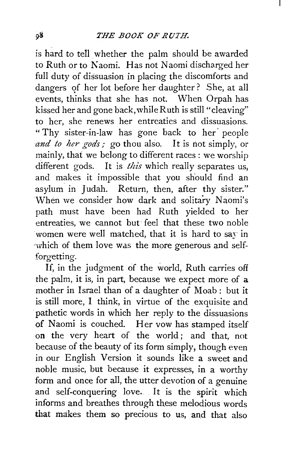is hard to tell whether the palm should be awarded to Ruth or to Naomi. Has not Naomi discharged her full duty of dissuasion in placing the discomforts and dangers of her lot before her daughter? She, at all events, thinks that she has not. When Orpah has kissed her and gone back, while Ruth is still "cleaving" to her, she renews her entreaties and dissuasions. "Thy sister-in-law has gone back to her' people and to her gods; go thou also. It is not simply, or mainly, that we belong to different races: we worship different gods. It is *this* which really separates us, and makes it impossible that you should find an asylum in Judah. Return, then, after thy sister." When we consider how dark and solitary Naomi's path must have been had Ruth yielded to her entreaties, we cannot but feel that these two noble women were well matched, that it is hard to say in ·which of them love was the more generous and selfforgetting.

If, in the judgment of the world, Ruth carries off the palm, it is, in part, because we expect more of a mother in Israel than of a daughter of Moab : but it is still more, I think, in virtue of the exquisite and pathetic words in which her reply to the dissuasions of Naomi is couched. Her vow has stamped itself on the very heart of the world ; and that, not because of the beauty of its form simply, though even in our English Version it sounds like a sweet and noble music, but because it expresses, in a worthy form and once for all, the utter devotion of a genuine and self-conquering love. It is the spirit which informs and breathes through these melodious words that makes them so precious to us, and that also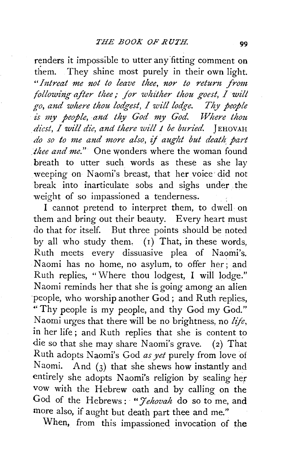renders it impossible to utter any fitting comment on them. They shine most purely in their own light. *"hztreat me not to leave thee, nor to return .from*  following after thee; for whither thou goest, I will *,f[O, and where thou lodgest,* I *will lodge. Thy people*  · *is my people, and thy God my God. JVhere thou dicst, I will die, and there will 1 be buried.* [EHOVAH *do so to me and more also, if aught but death part thee and me.*" One wonders where the woman found breath to utter such words as these as she lay weeping on Naomi's breast, that her voice' did not break into inarticulate sobs and sighs under the weight of so impassioned a tenderness.

I cannot pretend to interpret them, to dwell on them and bring out their beauty. Every heart must do that for itself. But three points should be noted by all who study them, (1) That, in these words, Ruth meets every dissuasive plea of Naomi's. Naomi has no home, no asylum, to offer her; and Ruth replies, "Where thou lodgest, I will lodge." Naomi reminds her that she is going among an alien people, who worship another God; and Ruth replies, "Thy people is my people, and thy God my God." N aomi urges that there will be no brightness, no *life,*  in her life; and Ruth replies that she is content to die so that she may share Naomi's grave. (z) That Ruth adopts Naomi's God *as yet* purely from love of Naomi. And  $(3)$  that she shews how instantly and entirely she adopts Naomi's religion by sealing her vow with the Hebrew oath and by calling on the God of the Hebrews: "*Jehovah* do so to me, and more also, if aught but death part thee and me."

When, from this impassioned invocation of the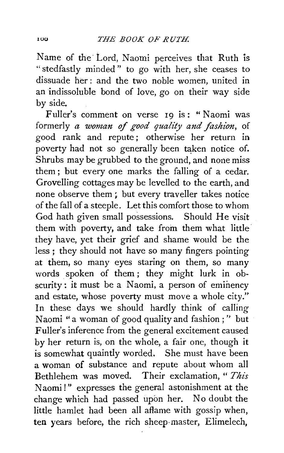Name of the Lord, Naomi perceives that Ruth is "stedfastly minded" to go with her, she ceases to dissuade her: and the two noble women, united in an indissoluble bond of love, go on their way side by side.

Fuller's comment on verse 19 is: "Naomi was formerly *a woman of good quality and fashion,* of good rank and repute ; otherwise her return in poverty had not so generally been taken notice of. Shrubs may be grubbed to the ground, and none miss them ; but every one marks the falling of a cedar. Grovelling cottages may be levelled to the earth, and none observe them ; but every traveller takes notice of the fall of a steeple. Let this comfort those to whom God hath given small possessions. Should He visit them with poverty, and take from them what little· they have, yet their grief and shame would be the less; they should not have so many fingers pointing at them, so many eyes staring on them, so many words spoken of them ; they might lurk in obscurity : it must be a Naomi, a person of eminency and estate, whose poverty must move a whole city." In these days we should hardly think of calling Naomi "a woman of good quality and fashion;" but Fuller's inference from the general excitement caused by her return is, on the whole, a fair one, though it is somewhat quaintly worded. She must have been a woman of substance and repute about whom all Bethlehem was moved. Their exclamation, " *This*  Naomi!" expresses the general astonishment at the change which had passed upon her. No doubt the little hamlet had been all aflame with gossip when, ten years before, the rich sheep-master, Elimelech,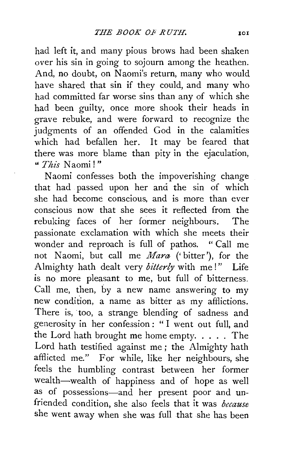had left it, and many pious brows had been shaken over his sin in going to sojourn among the heathen. And, no doubt, on Naomi's return, many who would have shared that sin if they could, and many who had committed far worse sins than any of which she had been guilty, once more shook their heads in grave rebuke, and were forward to recognize the judgments of an offended God in the calamities which had befallen her. It may be feared that there was more blame than pity in the ejaculation, " *This* N aomi ! "

Naomi confesses both the impoverishing change that had passed upon her and the sin of which she had become conscious, and is more than ever conscious now that she sees it reflected from the rebuking faces of her former neighbours. The passionate exclamation with which she meets their wonder and reproach is full of pathos. " Call me not Naomi, but call me *Mara* ('bitter'), for the Almighty hath dealt very *bitterly* with me!" Life is no more pleasant to me, but full of bitterness. Call me, then, by a new name answering to my new condition, a name as bitter as my afflictions. There is, too, a strange blending of sadness and generosity in her confession: "I went out full, and the Lord hath brought me home empty.  $\ldots$ . The Lord hath testified against me ; the Almighty hath afflicted me." For while, like her neighbours, she feels the humbling contrast between her former wealth-wealth of happiness and of hope as well as of possessions-and her present poor and unfriended condition, she also feels that it was *because*  she went away when she was full that she has been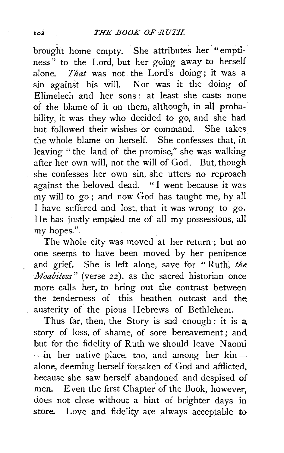brought home empty. She attributes her "emptiness" to the Lord, but her going away to herself alone; *That* was not the Lord's doing; it was a sin against his will. Nor 'was it the doing of Elimelech and her sons: at least she casts none of the blame of it on them, although, in all probability, it was they who decided to go, and she had but followed their wishes or command. She takes the whole blame on herself. She confesses that, in leaving "the land of the promise," she was walking after her own will, not the will of God. But, though she confesses her own sin, she utters no reproach against the beloved dead. "I went because it was my will to go ; and now God has taught me, by all I have suffered and lost, that it was wrong to go. He has justly emptied me of all my possessions, all my hopes."

The whole city was moved at her return; but no one seems to have been moved by her penitence and grief. She is left alone, save for "Ruth, the *Moabitess"* (verse 22), as the sacred historian once more calls her, to bring out the contrast between the tenderness of this heathen outcast and the austerity of the pious Hebrews of Bethlehem.

Thus far, then, the Story is sad enough : it is a story of loss, of shame, of sore bereavement; and but for the fidelity of Ruth we should leave Naomi -in her native place, too, and among her kinalone, deeming herself forsaken of God and afflicted. because she saw herself abandoned and despised of men. Even the first Chapter of the Book, however, does not close without a hint of brighter days in store. Love and fidelity are always acceptable to